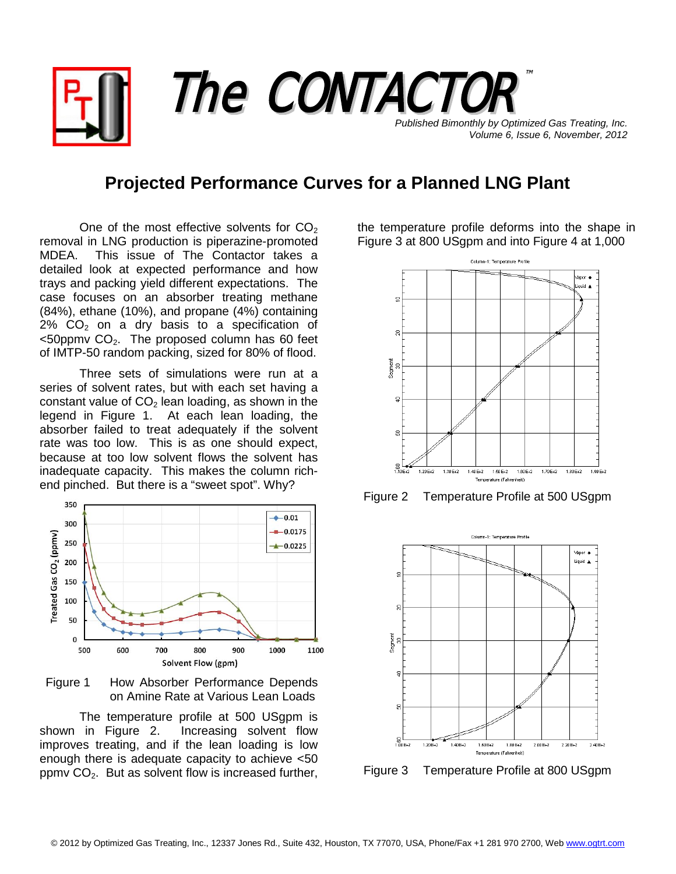*Published Bimonthly by Optimized Gas Treating, Inc. Volume 6, Issue 6, November, 2012* The CONTACTOR ™

## **Projected Performance Curves for a Planned LNG Plant**

One of the most effective solvents for  $CO<sub>2</sub>$ removal in LNG production is piperazine-promoted This issue of The Contactor takes a detailed look at expected performance and how trays and packing yield different expectations. The case focuses on an absorber treating methane (84%), ethane (10%), and propane (4%) containing  $2\%$  CO<sub>2</sub> on a dry basis to a specification of  $<$ 50ppmv CO<sub>2</sub>. The proposed column has 60 feet of IMTP-50 random packing, sized for 80% of flood.

Three sets of simulations were run at a series of solvent rates, but with each set having a constant value of  $CO<sub>2</sub>$  lean loading, as shown in the legend in Figure 1. At each lean loading, the absorber failed to treat adequately if the solvent rate was too low. This is as one should expect, because at too low solvent flows the solvent has inadequate capacity. This makes the column richend pinched. But there is a "sweet spot". Why?



Figure 1 How Absorber Performance Depends on Amine Rate at Various Lean Loads

The temperature profile at 500 USgpm is shown in Figure 2. Increasing solvent flow improves treating, and if the lean loading is low enough there is adequate capacity to achieve <50 ppmv  $CO<sub>2</sub>$ . But as solvent flow is increased further,

the temperature profile deforms into the shape in Figure 3 at 800 USgpm and into Figure 4 at 1,000



Figure 2 Temperature Profile at 500 USgpm



Figure 3 Temperature Profile at 800 USgpm